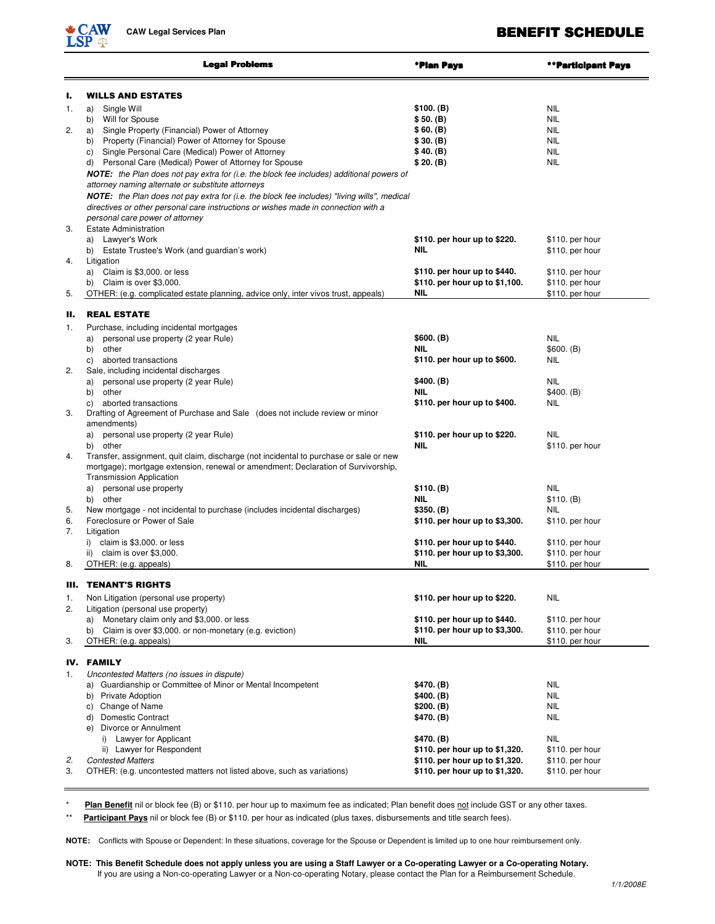

## BENEFIT SCHEDULE

|     | <b>Legal Problems</b>                                                                                      | *Plan Pays                                   | <b>**Participant Pays</b> |
|-----|------------------------------------------------------------------------------------------------------------|----------------------------------------------|---------------------------|
|     | <b>WILLS AND ESTATES</b>                                                                                   |                                              |                           |
| 1.  | a) Single Will                                                                                             | \$100. (B)                                   | <b>NIL</b>                |
|     | b) Will for Spouse                                                                                         | \$50.(B)                                     | ΝIL                       |
| 2.  | a) Single Property (Financial) Power of Attorney                                                           | \$60.(B)                                     | <b>NIL</b>                |
|     | b) Property (Financial) Power of Attorney for Spouse                                                       | \$30.(B)                                     | NIL                       |
|     | c) Single Personal Care (Medical) Power of Attorney                                                        | \$40.(B)                                     | NIL                       |
|     | d) Personal Care (Medical) Power of Attorney for Spouse                                                    | \$20.(B)                                     | NIL                       |
|     | NOTE: the Plan does not pay extra for (i.e. the block fee includes) additional powers of                   |                                              |                           |
|     | attorney naming alternate or substitute attorneys                                                          |                                              |                           |
|     | NOTE: the Plan does not pay extra for (i.e. the block fee includes) "living wills", medical                |                                              |                           |
|     | directives or other personal care instructions or wishes made in connection with a                         |                                              |                           |
|     | personal care power of attorney                                                                            |                                              |                           |
| З.  | <b>Estate Administration</b>                                                                               |                                              |                           |
|     | a) Lawyer's Work                                                                                           | \$110. per hour up to \$220.                 | \$110. per hour           |
|     | b) Estate Trustee's Work (and guardian's work)                                                             | <b>NIL</b>                                   | \$110. per hour           |
| 4.  | Litigation                                                                                                 |                                              |                           |
|     | a) Claim is \$3,000. or less                                                                               | \$110. per hour up to \$440.                 | \$110. per hour           |
|     | b) Claim is over \$3,000.                                                                                  | \$110. per hour up to \$1,100.               | \$110. per hour           |
| 5.  | OTHER: (e.g. complicated estate planning, advice only, inter vivos trust, appeals)                         | <b>NIL</b>                                   | \$110. per hour           |
| н.  | <b>REAL ESTATE</b>                                                                                         |                                              |                           |
| 1.  | Purchase, including incidental mortgages                                                                   |                                              |                           |
|     | a) personal use property (2 year Rule)                                                                     | \$600. (B)                                   | NIL                       |
|     | b) other                                                                                                   | <b>NIL</b>                                   | \$600. (B)                |
|     | c) aborted transactions                                                                                    | \$110. per hour up to \$600.                 | NIL                       |
| 2.  | Sale, including incidental discharges                                                                      |                                              |                           |
|     | a) personal use property (2 year Rule)                                                                     | \$400. (B)                                   | <b>NIL</b>                |
|     | b) other                                                                                                   | <b>NIL</b>                                   | \$400. (B)                |
|     | c) aborted transactions                                                                                    | \$110. per hour up to \$400.                 | ΝIL                       |
| 3.  | Drafting of Agreement of Purchase and Sale (does not include review or minor                               |                                              |                           |
|     | amendments)                                                                                                |                                              |                           |
|     | a) personal use property (2 year Rule)                                                                     | \$110. per hour up to \$220.                 | NIL                       |
|     | b) other                                                                                                   | <b>NIL</b>                                   | \$110. per hour           |
| 4.  | Transfer, assignment, quit claim, discharge (not incidental to purchase or sale or new                     |                                              |                           |
|     | mortgage); mortgage extension, renewal or amendment; Declaration of Survivorship,                          |                                              |                           |
|     | <b>Transmission Application</b>                                                                            |                                              |                           |
|     | a) personal use property                                                                                   | \$110. (B)                                   | NIL                       |
|     | b) other                                                                                                   | <b>NIL</b>                                   | \$110. (B)                |
| 5.  | New mortgage - not incidental to purchase (includes incidental discharges)<br>Foreclosure or Power of Sale | \$350. (B)<br>\$110. per hour up to \$3,300. | <b>NIL</b>                |
| 6.  |                                                                                                            |                                              | \$110. per hour           |
| 7.  | Litigation<br>i) claim is \$3,000. or less                                                                 | \$110. per hour up to \$440.                 | \$110. per hour           |
|     | ii) claim is over \$3,000.                                                                                 | \$110. per hour up to \$3,300.               | \$110. per hour           |
| 8.  | OTHER: (e.g. appeals)                                                                                      | <b>NIL</b>                                   | \$110. per hour           |
|     |                                                                                                            |                                              |                           |
|     | <b>III. TENANT'S RIGHTS</b>                                                                                |                                              |                           |
| 1.  | Non Litigation (personal use property)                                                                     | \$110. per hour up to \$220.                 | ΝIL                       |
| 2.  | Litigation (personal use property)                                                                         |                                              |                           |
|     | a) Monetary claim only and \$3,000. or less                                                                | \$110. per hour up to \$440.                 | \$110. per hour           |
|     | b) Claim is over \$3,000. or non-monetary (e.g. eviction)                                                  | \$110. per hour up to \$3,300.               | \$110. per hour           |
| З.  | OTHER: (e.g. appeals)                                                                                      | <b>NIL</b>                                   | \$110. per hour           |
| IV. | <b>FAMILY</b>                                                                                              |                                              |                           |
|     |                                                                                                            |                                              |                           |
| 1.  | Uncontested Matters (no issues in dispute)                                                                 |                                              |                           |
|     | a) Guardianship or Committee of Minor or Mental Incompetent<br>b) Private Adoption                         | \$470. (B)                                   | ΝIL<br>NIL                |
|     | c) Change of Name                                                                                          | \$400. (B)<br>\$200. (B)                     | ΝIL                       |
|     | d) Domestic Contract                                                                                       | \$470. (B)                                   | NIL                       |
|     | e) Divorce or Annulment                                                                                    |                                              |                           |
|     | i) Lawyer for Applicant                                                                                    | \$470. (B)                                   | <b>NIL</b>                |
|     | ii) Lawyer for Respondent                                                                                  | \$110. per hour up to \$1,320.               | \$110. per hour           |
| 2.  | <b>Contested Matters</b>                                                                                   | \$110. per hour up to \$1,320.               | \$110. per hour           |
| 3.  | OTHER: (e.g. uncontested matters not listed above, such as variations)                                     | \$110. per hour up to \$1,320.               | \$110. per hour           |
|     |                                                                                                            |                                              |                           |

Plan Benefit nil or block fee (B) or \$110. per hour up to maximum fee as indicated; Plan benefit does not include GST or any other taxes.

\*\* **Participant Pays** nil or block fee (B) or \$110. per hour as indicated (plus taxes, disbursements and title search fees).

**NOTE:** Conflicts with Spouse or Dependent: In these situations, coverage for the Spouse or Dependent is limited up to one hour reimbursement only.

## **NOTE: This Benefit Schedule does not apply unless you are using a Staff Lawyer or a Co-operating Lawyer or a Co-operating Notary.** If you are using a Non-co-operating Lawyer or a Non-co-operating Notary, please contact the Plan for a Reimbursement Schedule.